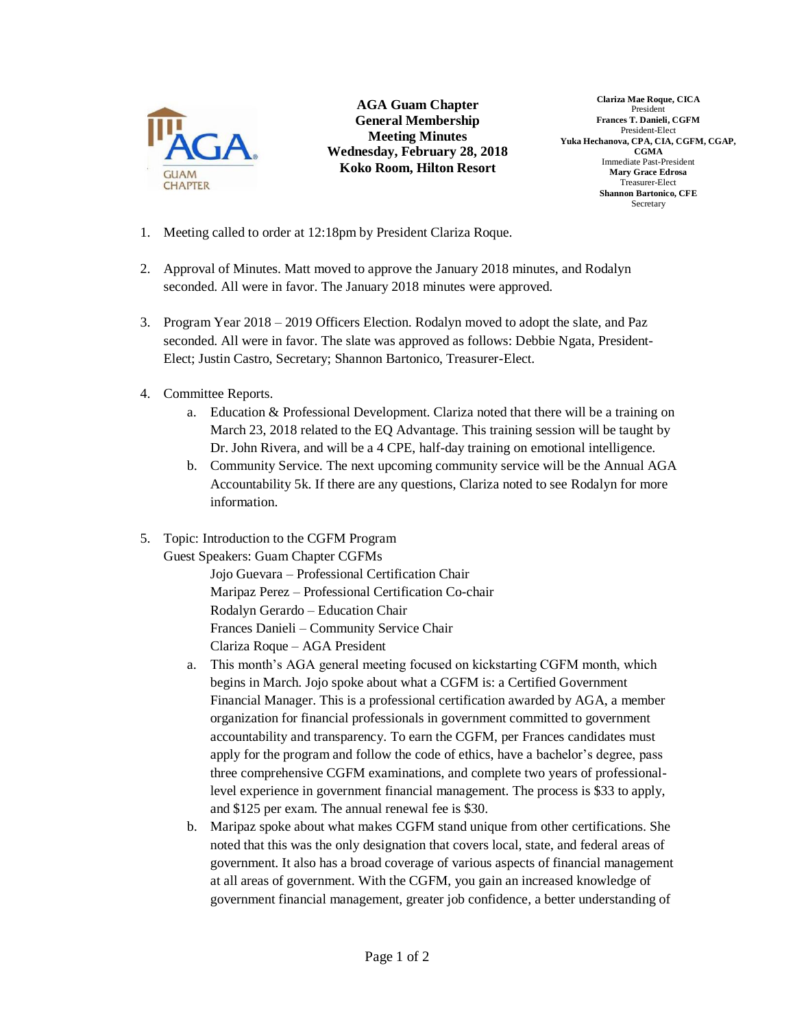

**AGA Guam Chapter General Membership Meeting Minutes Wednesday, February 28, 2018 Koko Room, Hilton Resort**

**Clariza Mae Roque, CICA** President **Frances T. Danieli, CGFM** President-Elect **Yuka Hechanova, CPA, CIA, CGFM, CGAP, CGMA** Immediate Past-President **Mary Grace Edrosa** Treasurer-Elect **Shannon Bartonico, CFE** Secretary

- 1. Meeting called to order at 12:18pm by President Clariza Roque.
- 2. Approval of Minutes. Matt moved to approve the January 2018 minutes, and Rodalyn seconded. All were in favor. The January 2018 minutes were approved.
- 3. Program Year 2018 2019 Officers Election. Rodalyn moved to adopt the slate, and Paz seconded. All were in favor. The slate was approved as follows: Debbie Ngata, President-Elect; Justin Castro, Secretary; Shannon Bartonico, Treasurer-Elect.
- 4. Committee Reports.
	- a. Education & Professional Development. Clariza noted that there will be a training on March 23, 2018 related to the EQ Advantage. This training session will be taught by Dr. John Rivera, and will be a 4 CPE, half-day training on emotional intelligence.
	- b. Community Service. The next upcoming community service will be the Annual AGA Accountability 5k. If there are any questions, Clariza noted to see Rodalyn for more information.
- 5. Topic: Introduction to the CGFM Program

Guest Speakers: Guam Chapter CGFMs

Jojo Guevara – Professional Certification Chair Maripaz Perez – Professional Certification Co-chair Rodalyn Gerardo – Education Chair Frances Danieli – Community Service Chair Clariza Roque – AGA President

- a. This month's AGA general meeting focused on kickstarting CGFM month, which begins in March. Jojo spoke about what a CGFM is: a Certified Government Financial Manager. This is a professional certification awarded by AGA, a member organization for financial professionals in government committed to government accountability and transparency. To earn the CGFM, per Frances candidates must apply for the program and follow the code of ethics, have a bachelor's degree, pass three comprehensive CGFM examinations, and complete two years of professionallevel experience in government financial management. The process is \$33 to apply, and \$125 per exam. The annual renewal fee is \$30.
- b. Maripaz spoke about what makes CGFM stand unique from other certifications. She noted that this was the only designation that covers local, state, and federal areas of government. It also has a broad coverage of various aspects of financial management at all areas of government. With the CGFM, you gain an increased knowledge of government financial management, greater job confidence, a better understanding of